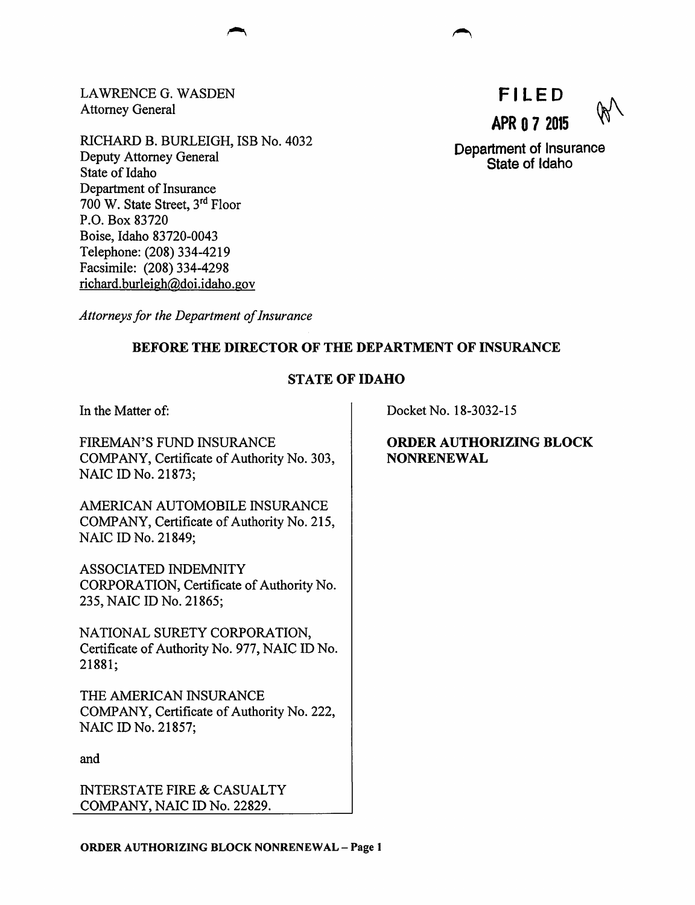LAWRENCE G. WASDEN Attorney General

RICHARD B. BURLEIGH, ISB No. 4032 Deputy Attorney General State of Idaho Department of Insurance 700 W. State Street, 3rd Floor P.O. Box 83720 Boise, Idaho 83720-0043 Telephone: (208) 334-4219 Facsimile: (208) 334-4298 richard. burleigh@doi.idaho.gov

**Fl LED APR 0 7 2015** 

Department of Insurance State of Idaho

*Attorneys for the Department of Insurance* 

## BEFORE THE DIRECTOR OF THE DEPARTMENT OF INSURANCE

## STATE OF IDAHO

In the Matter of:

FIREMAN'S FUND INSURANCE COMPANY, Certificate of Authority No. 303, NAIC ID No. 21873;

AMERICAN AUTOMOBILE INSURANCE COMPANY, Certificate of Authority No. 215, NAIC ID No. 21849;

ASSOCIATED INDEMNITY CORPORATION, Certificate of Authority No. 235, NAIC ID No. 21865;

NATIONAL SURETY CORPORATION, Certificate of Authority No. 977, NAIC ID No. 21881;

THE AMERICAN INSURANCE COMPANY, Certificate of Authority No. 222, NAIC ID No. 21857;

and

INTERSTATE FIRE & CASUALTY COMPANY, NAIC ID No. 22829.

Docket No. 18-3032-15

ORDER AUTHORIZING BLOCK **NONRENEWAL**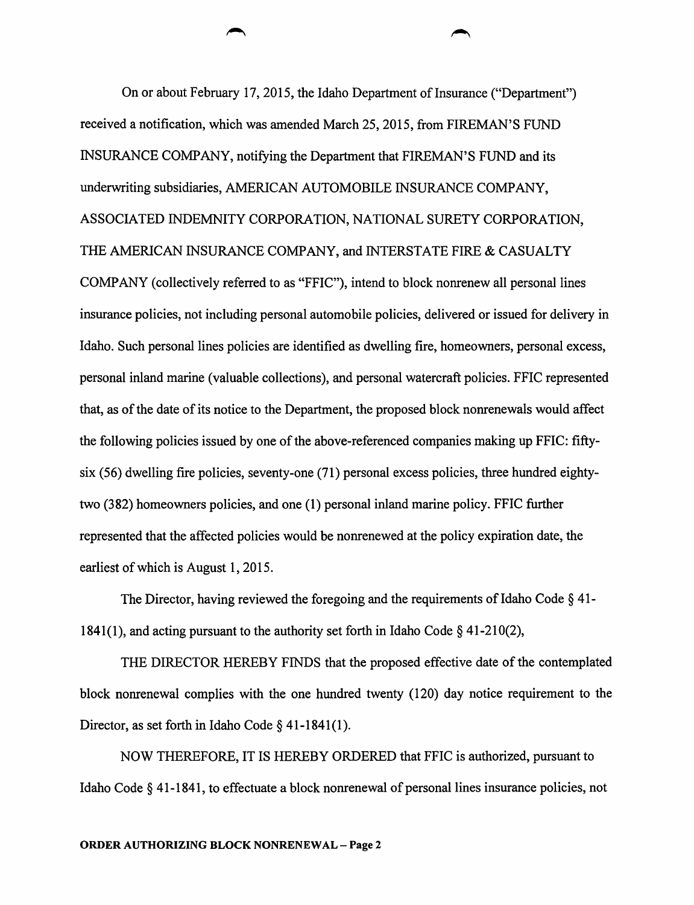On or about February 17, 2015, the Idaho Department of Insurance ("Department") received a notification, which was amended March 25, 2015, from FIREMAN'S FUND INSURANCE COMPANY, notifying the Department that FIREMAN'S FUND and its underwriting subsidiaries, AMERICAN AUTOMOBILE INSURANCE COMPANY, ASSOCIATED INDEMNITY CORPORATION, NATIONAL SURETY CORPORATION, THE AMERICAN INSURANCE COMPANY, and INTERSTATE FIRE & CASUALTY COMPANY (collectively referred to as "FFIC"), intend to block nonrenew all personal lines insurance policies, not including personal automobile policies, delivered or issued for delivery in Idaho. Such personal lines policies are identified as dwelling fire, homeowners, personal excess, personal inland marine (valuable collections), and personal watercraft policies. FFIC represented that, as of the date of its notice to the Department, the proposed block nonrenewals would affect the following policies issued by one of the above-referenced companies making up FFIC: fiftysix (56) dwelling fire policies, seventy-one (71) personal excess policies, three hundred eightytwo (382) homeowners policies, and one (1) personal inland marine policy. FFIC further represented that the affected policies would be nonrenewed at the policy expiration date, the earliest of which is August 1, 2015.

The Director, having reviewed the foregoing and the requirements of Idaho Code § 41- 1841(1), and acting pursuant to the authority set forth in Idaho Code  $\S$  41-210(2),

THE DIRECTOR HEREBY FINDS that the proposed effective date of the contemplated block nonrenewal complies with the one hundred twenty ( 120) day notice requirement to the Director, as set forth in Idaho Code  $\S$  41-1841(1).

NOW THEREFORE, IT IS HEREBY ORDERED that FFIC is authorized, pursuant to Idaho Code § 41-1841, to effectuate a block nonrenewal of personal lines insurance policies, not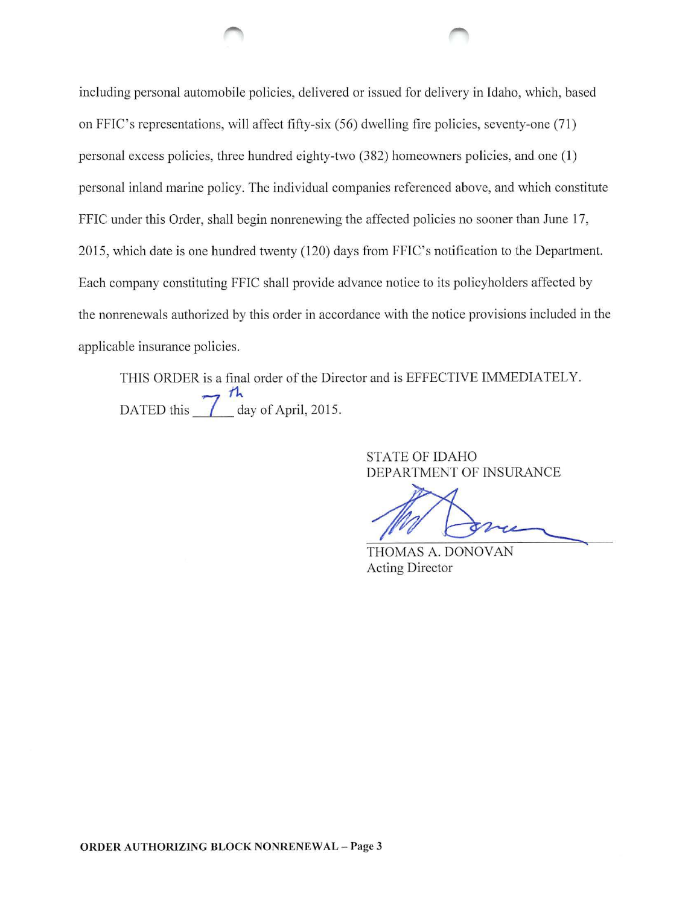including personal automobile policies, delivered or issued for delivery in Idaho, which, based on FFIC's representations, will affect fifty-six (56) dwelling fire policies, seventy-one (71) personal excess policies, three hundred eighty-two (382) homeowners policies, and one (1) personal inland marine policy. The individual companies referenced above, and which constitute FFIC under this Order, shall begin nonrenewing the affected policies no sooner than June 17, 2015, which date is one hundred twenty (120) days from FFIC's notification to the Department. Each company constituting FFIC shall provide advance notice to its policyholders affected by the nonrenewals authorized by this order in accordance with the notice provisions included in the applicable insurance policies.

THIS ORDER is a final order of the Director and is EFFECTIVE IMMEDIATELY. DATED this  $\frac{\pi}{\sqrt{2}}$  day of April, 2015.

> STATE OF IDAHO DEPARTMENT OF INSURANCE

 $\mathbb{Z}$ '

THOMAS A. DONOVAN Acting Director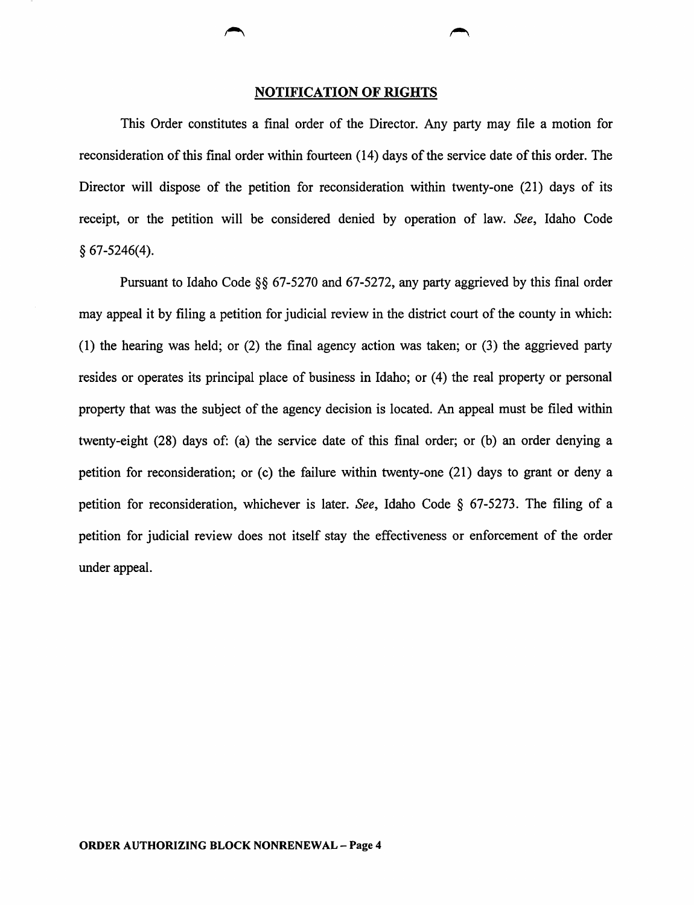## NOTIFICATION OF RIGHTS

This Order constitutes a final order of the Director. Any party may file a motion for reconsideration of this final order within fourteen (14) days of the service date of this order. The Director will dispose of the petition for reconsideration within twenty-one (21) days of its receipt, or the petition will be considered denied by operation of law. *See,* Idaho Code § 67-5246(4).

Pursuant to Idaho Code §§ 67-5270 and 67-5272, any party aggrieved by this final order may appeal it by filing a petition for judicial review in the district court of the county in which: (1) the hearing was held; or (2) the final agency action was taken; or (3) the aggrieved party resides or operates its principal place of business in Idaho; or (4) the real property or personal property that was the subject of the agency decision is located. An appeal must be filed within twenty-eight (28) days of: (a) the service date of this final order; or (b) an order denying a petition for reconsideration; or  $(c)$  the failure within twenty-one  $(21)$  days to grant or deny a petition for reconsideration, whichever is later. *See,* Idaho Code § 67-5273. The filing of a petition for judicial review does not itself stay the effectiveness or enforcement of the order under appeal.